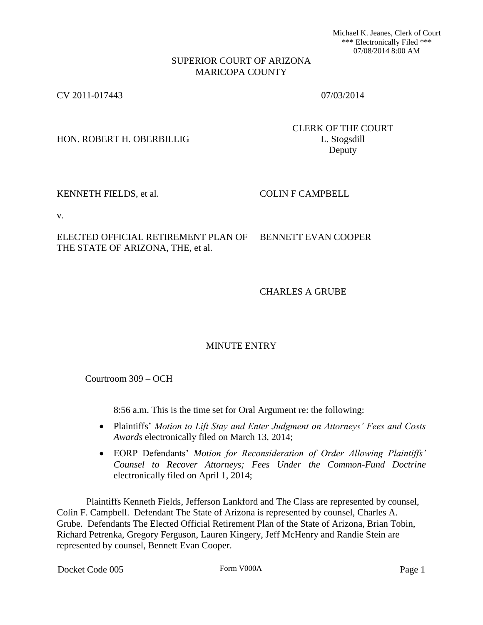Michael K. Jeanes, Clerk of Court \*\*\* Electronically Filed \*\*\* 07/08/2014 8:00 AM

## SUPERIOR COURT OF ARIZONA MARICOPA COUNTY

CV 2011-017443 07/03/2014

HON. ROBERT H. OBERBILLIG L. Stogsdill

CLERK OF THE COURT Deputy

KENNETH FIELDS, et al. COLIN F CAMPBELL

v.

ELECTED OFFICIAL RETIREMENT PLAN OF THE STATE OF ARIZONA, THE, et al. BENNETT EVAN COOPER

CHARLES A GRUBE

## MINUTE ENTRY

Courtroom 309 – OCH

8:56 a.m. This is the time set for Oral Argument re: the following:

- Plaintiffs' *Motion to Lift Stay and Enter Judgment on Attorneys' Fees and Costs Awards* electronically filed on March 13, 2014;
- EORP Defendants' *Motion for Reconsideration of Order Allowing Plaintiffs' Counsel to Recover Attorneys; Fees Under the Common-Fund Doctrine* electronically filed on April 1, 2014;

 Plaintiffs Kenneth Fields, Jefferson Lankford and The Class are represented by counsel, Colin F. Campbell. Defendant The State of Arizona is represented by counsel, Charles A. Grube. Defendants The Elected Official Retirement Plan of the State of Arizona, Brian Tobin, Richard Petrenka, Gregory Ferguson, Lauren Kingery, Jeff McHenry and Randie Stein are represented by counsel, Bennett Evan Cooper.

Docket Code 005 Form V000A Form V000A Page 1